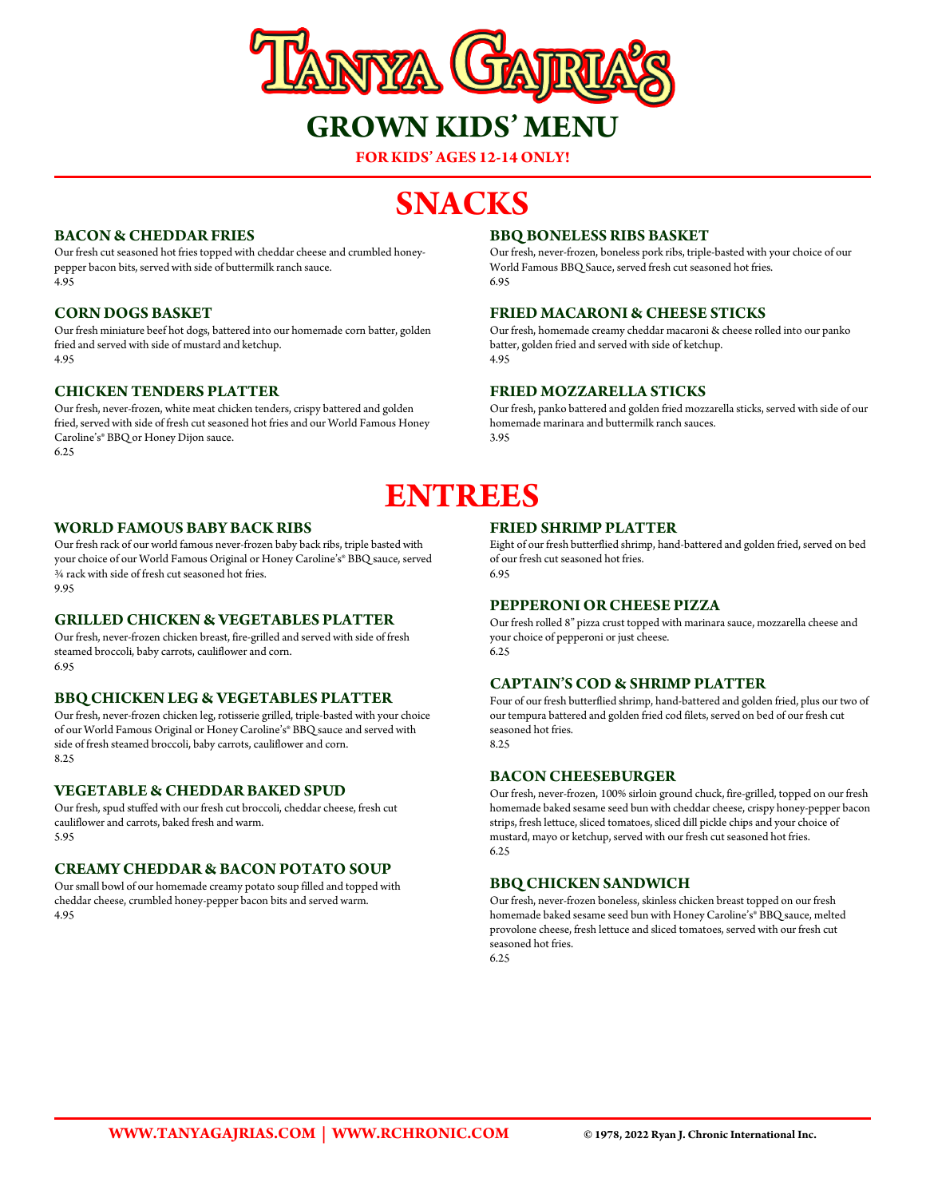

**FOR KIDS' AGES 12-14 ONLY!**

# **SNACKS**

# **BACON & CHEDDAR FRIES**

Our fresh cut seasoned hot fries topped with cheddar cheese and crumbled honeypepper bacon bits, served with side of buttermilk ranch sauce. 4.95

# **CORN DOGS BASKET**

Our fresh miniature beef hot dogs, battered into our homemade corn batter, golden fried and served with side of mustard and ketchup. 4.95

# **CHICKEN TENDERS PLATTER**

Our fresh, never-frozen, white meat chicken tenders, crispy battered and golden fried, served with side of fresh cut seasoned hot fries and our World Famous Honey Caroline's® BBQ or Honey Dijon sauce. 6.25

### **BBQ BONELESS RIBS BASKET**

Our fresh, never-frozen, boneless pork ribs, triple-basted with your choice of our World Famous BBQ Sauce, served fresh cut seasoned hot fries. 6.95

#### **FRIED MACARONI & CHEESE STICKS**

Our fresh, homemade creamy cheddar macaroni & cheese rolled into our panko batter, golden fried and served with side of ketchup. 4.95

#### **FRIED MOZZARELLA STICKS**

Our fresh, panko battered and golden fried mozzarella sticks, served with side of our homemade marinara and buttermilk ranch sauces. 3.95

# **ENTREES**

#### **WORLD FAMOUS BABY BACK RIBS**

Our fresh rack of our world famous never-frozen baby back ribs, triple basted with your choice of our World Famous Original or Honey Caroline's® BBQ sauce, served ¾ rack with side of fresh cut seasoned hot fries. 9.95

#### **GRILLED CHICKEN & VEGETABLES PLATTER**

Our fresh, never-frozen chicken breast, fire-grilled and served with side of fresh steamed broccoli, baby carrots, cauliflower and corn. 6.95

# **BBQ CHICKEN LEG & VEGETABLES PLATTER**

Our fresh, never-frozen chicken leg, rotisserie grilled, triple-basted with your choice of our World Famous Original or Honey Caroline's® BBQ sauce and served with side of fresh steamed broccoli, baby carrots, cauliflower and corn. 8.25

#### **VEGETABLE & CHEDDAR BAKED SPUD**

Our fresh, spud stuffed with our fresh cut broccoli, cheddar cheese, fresh cut cauliflower and carrots, baked fresh and warm. 5.95

#### **CREAMY CHEDDAR & BACON POTATO SOUP**

Our small bowl of our homemade creamy potato soup filled and topped with cheddar cheese, crumbled honey-pepper bacon bits and served warm. 4.95

#### **FRIED SHRIMP PLATTER**

Eight of our fresh butterflied shrimp, hand-battered and golden fried, served on bed of our fresh cut seasoned hot fries. 6.95

#### **PEPPERONI OR CHEESE PIZZA**

Our fresh rolled 8" pizza crust topped with marinara sauce, mozzarella cheese and your choice of pepperoni or just cheese. 6.25

#### **CAPTAIN'S COD & SHRIMP PLATTER**

Four of our fresh butterflied shrimp, hand-battered and golden fried, plus our two of our tempura battered and golden fried cod filets, served on bed of our fresh cut seasoned hot fries. 8.25

#### **BACON CHEESEBURGER**

Our fresh, never-frozen, 100% sirloin ground chuck, fire-grilled, topped on our fresh homemade baked sesame seed bun with cheddar cheese, crispy honey-pepper bacon strips, fresh lettuce, sliced tomatoes, sliced dill pickle chips and your choice of mustard, mayo or ketchup, served with our fresh cut seasoned hot fries. 6.25

#### **BBQ CHICKEN SANDWICH**

Our fresh, never-frozen boneless, skinless chicken breast topped on our fresh homemade baked sesame seed bun with Honey Caroline's® BBQ sauce, melted provolone cheese, fresh lettuce and sliced tomatoes, served with our fresh cut seasoned hot fries.

6.25